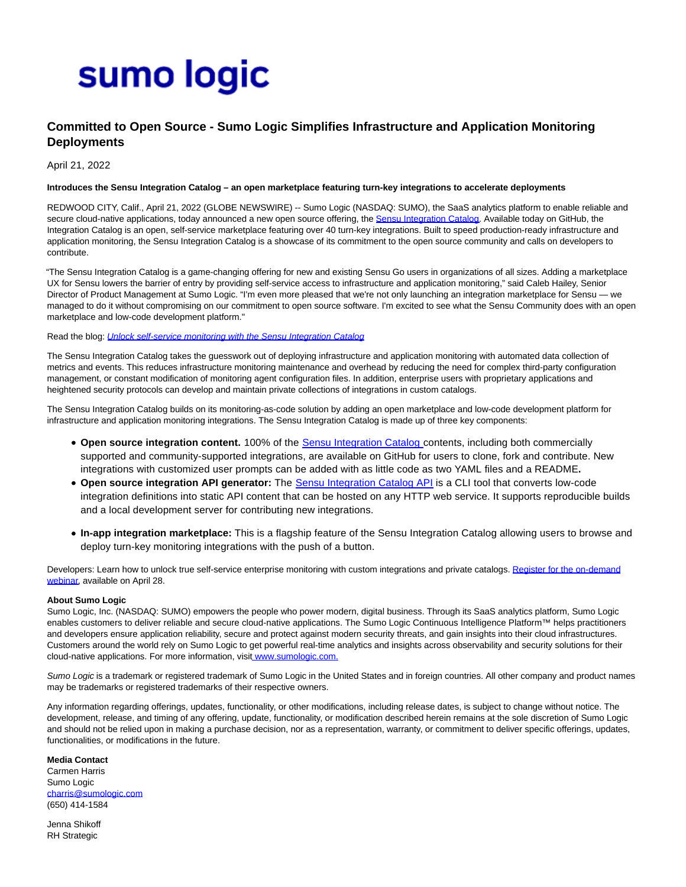# sumo logic

## **Committed to Open Source - Sumo Logic Simplifies Infrastructure and Application Monitoring Deployments**

April 21, 2022

#### **Introduces the Sensu Integration Catalog – an open marketplace featuring turn-key integrations to accelerate deployments**

REDWOOD CITY, Calif., April 21, 2022 (GLOBE NEWSWIRE) -- Sumo Logic (NASDAQ: SUMO), the SaaS analytics platform to enable reliable and secure cloud-native applications, today announced a new open source offering, the [Sensu Integration Catalog.](https://www.globenewswire.com/Tracker?data=Y06u2Dhu4-e7gAyKwE9vOQBF_RlgbevDJjfRW-uap0CBy4Fy9oGknhQ7p6zmHOgZoZ7cFv1dodfk7AVojDUU3jn0baxEWcZhsGrOHYHxREM=) Available today on GitHub, the Integration Catalog is an open, self-service marketplace featuring over 40 turn-key integrations. Built to speed production-ready infrastructure and application monitoring, the Sensu Integration Catalog is a showcase of its commitment to the open source community and calls on developers to contribute.

"The Sensu Integration Catalog is a game-changing offering for new and existing Sensu Go users in organizations of all sizes. Adding a marketplace UX for Sensu lowers the barrier of entry by providing self-service access to infrastructure and application monitoring," said Caleb Hailey, Senior Director of Product Management at Sumo Logic. "I'm even more pleased that we're not only launching an integration marketplace for Sensu — we managed to do it without compromising on our commitment to open source software. I'm excited to see what the Sensu Community does with an open marketplace and low-code development platform."

Read the blog: *[Unlock self-service monitoring with the Sensu Integration Catalog](https://www.globenewswire.com/Tracker?data=2yxY-3KFViiIoXOm7U4M3jFhuas6ewZuUbUdy0JBG3-29wplug8LXI68pVYTlnw1AvQSW8PCGkOFUspvJ8-5c35J1lnBTdZBbeE1K-mO9DqAeHGWcAv_TC7TNx2yG4jhSFg6hSQKHrXJY1qzsTMlesypN6lwOQEzzV4gVVEE8XULFoh2h-af_9eNUneJ80-GSJYkbNgDRVcgmoLR10Pu-8twEw0Cc0mVvxh9el94pnS0R2R3dtwGn0kc0ei2Jy0H)* 

The Sensu Integration Catalog takes the guesswork out of deploying infrastructure and application monitoring with automated data collection of metrics and events. This reduces infrastructure monitoring maintenance and overhead by reducing the need for complex third-party configuration management, or constant modification of monitoring agent configuration files. In addition, enterprise users with proprietary applications and heightened security protocols can develop and maintain private collections of integrations in custom catalogs.

The Sensu Integration Catalog builds on its monitoring-as-code solution by adding an open marketplace and low-code development platform for infrastructure and application monitoring integrations. The Sensu Integration Catalog is made up of three key components:

- **Open source integration content.** 100% of the [Sensu Integration Catalog c](https://github.com/sensu/catalog)ontents, including both commercially supported and community-supported integrations, are available on GitHub for users to clone, fork and contribute. New integrations with customized user prompts can be added with as little code as two YAML files and a README**.**
- **Open source integration API generator:** The [Sensu Integration Catalog API i](https://github.com/sensu/catalog-api)s a CLI tool that converts low-code integration definitions into static API content that can be hosted on any HTTP web service. It supports reproducible builds and a local development server for contributing new integrations.
- **In-app integration marketplace:** This is a flagship feature of the Sensu Integration Catalog allowing users to browse and deploy turn-key monitoring integrations with the push of a button.

Developers: Learn how to unlock true self-service enterprise monitoring with custom integrations and private catalogs. [Register for the on-demand](https://www.globenewswire.com/Tracker?data=EuLYu5ze1yPPepZe4AhXYcrJK0t7beHs0Ciq5eGfRIHI11hFomwjjGYzqgHBkR78Cy5Itpqyd2jKkaH4aPYe7Ockt-88bfgE8lWqu3UDYFDWTUJamNX2UOonuCOR3wpuU4uj-T0bzY3LwGtRrOakqQ==) webinar, available on April 28.

#### **About Sumo Logic**

Sumo Logic, Inc. (NASDAQ: SUMO) empowers the people who power modern, digital business. Through its SaaS analytics platform, Sumo Logic enables customers to deliver reliable and secure cloud-native applications. The Sumo Logic Continuous Intelligence Platform™ helps practitioners and developers ensure application reliability, secure and protect against modern security threats, and gain insights into their cloud infrastructures. Customers around the world rely on Sumo Logic to get powerful real-time analytics and insights across observability and security solutions for their cloud-native applications. For more information, vis[it www.sumologic.com.](https://www.globenewswire.com/Tracker?data=_a95q3lmgAFR8pN2AYw00kGVTHd1m6owKM9tfN5Qp0sAyCr6VGB6qTnmsSUGEIHmVV1EChTElACyUiD7kvzpyIMOnWmaGB7FfzMU8ZKlD60=)

Sumo Logic is a trademark or registered trademark of Sumo Logic in the United States and in foreign countries. All other company and product names may be trademarks or registered trademarks of their respective owners.

Any information regarding offerings, updates, functionality, or other modifications, including release dates, is subject to change without notice. The development, release, and timing of any offering, update, functionality, or modification described herein remains at the sole discretion of Sumo Logic and should not be relied upon in making a purchase decision, nor as a representation, warranty, or commitment to deliver specific offerings, updates, functionalities, or modifications in the future.

### **Media Contact**

Carmen Harris Sumo Logic [charris@sumologic.com](https://www.globenewswire.com/Tracker?data=JIi6iWACAzR0RRuBNPfuNrSIz104afdKPM4qFFxPGRS-iZOFpqYxtc6wsNzlyzF5HgHP5vpqGDN1xEinzysNP3G-HrfL6UpKJg8VjWG6VKI=) (650) 414-1584

Jenna Shikoff RH Strategic